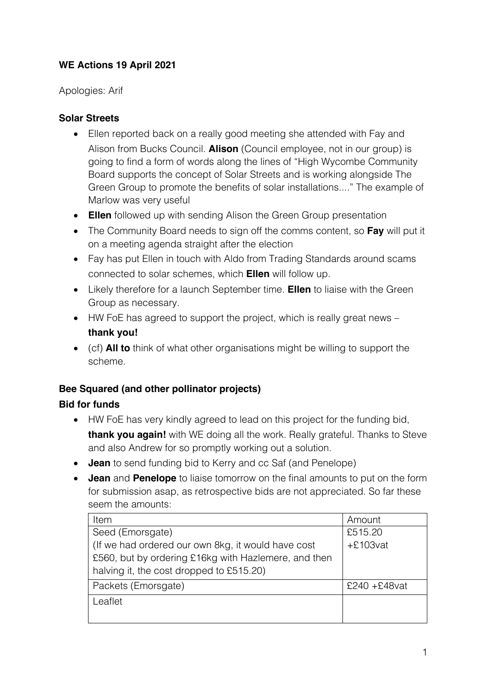# **WE Actions 19 April 2021**

Apologies: Arif

### **Solar Streets**

- Ellen reported back on a really good meeting she attended with Fay and Alison from Bucks Council. **Alison** (Council employee, not in our group) is going to find a form of words along the lines of "High Wycombe Community Board supports the concept of Solar Streets and is working alongside The Green Group to promote the benefits of solar installations...." The example of Marlow was very useful
- **Ellen** followed up with sending Alison the Green Group presentation
- The Community Board needs to sign off the comms content, so **Fay** will put it on a meeting agenda straight after the election
- Fay has put Ellen in touch with Aldo from Trading Standards around scams connected to solar schemes, which **Ellen** will follow up.
- Likely therefore for a launch September time. **Ellen** to liaise with the Green Group as necessary.
- HW FoE has agreed to support the project, which is really great news **thank you!**
- (cf) **All to** think of what other organisations might be willing to support the scheme.

# **Bee Squared (and other pollinator projects)**

### **Bid for funds**

- HW FoE has very kindly agreed to lead on this project for the funding bid, **thank you again!** with WE doing all the work. Really grateful. Thanks to Steve and also Andrew for so promptly working out a solution.
- **Jean** to send funding bid to Kerry and cc Saf (and Penelope)
- **Jean** and **Penelope** to liaise tomorrow on the final amounts to put on the form for submission asap, as retrospective bids are not appreciated. So far these seem the amounts:

| Item                                                 | Amount           |
|------------------------------------------------------|------------------|
| Seed (Emorsgate)                                     | £515.20          |
| (If we had ordered our own 8kg, it would have cost   | $+£103$ vat      |
| £560, but by ordering £16kg with Hazlemere, and then |                  |
| halving it, the cost dropped to £515.20)             |                  |
| Packets (Emorsgate)                                  | $£240 + £48$ vat |
| Leaflet                                              |                  |
|                                                      |                  |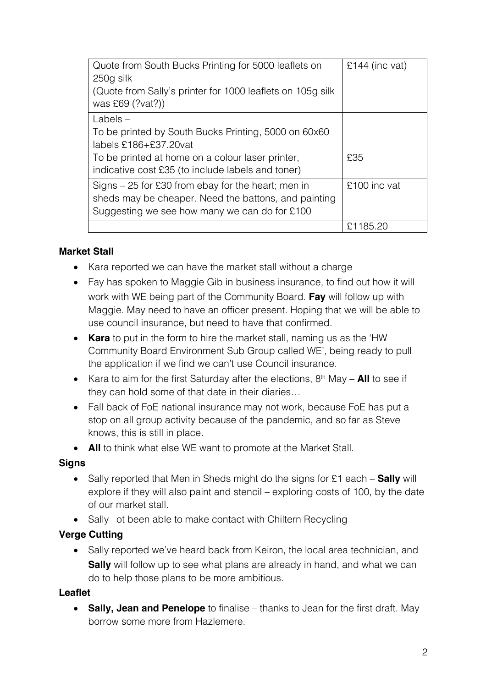| Quote from South Bucks Printing for 5000 leaflets on       | £144 (inc vat) |
|------------------------------------------------------------|----------------|
| 250g silk                                                  |                |
| (Quote from Sally's printer for 1000 leaflets on 105g silk |                |
| was £69 (?vat?))                                           |                |
| $Labels -$                                                 |                |
| To be printed by South Bucks Printing, 5000 on 60x60       |                |
| labels $£186 + £37.20$ vat                                 |                |
| To be printed at home on a colour laser printer,           | £35            |
| indicative cost £35 (to include labels and toner)          |                |
| Signs $-25$ for £30 from ebay for the heart; men in        | £100 inc vat   |
| sheds may be cheaper. Need the battons, and painting       |                |
| Suggesting we see how many we can do for £100              |                |
|                                                            | £1185.20       |

#### **Market Stall**

- Kara reported we can have the market stall without a charge
- Fay has spoken to Maggie Gib in business insurance, to find out how it will work with WE being part of the Community Board. **Fay** will follow up with Maggie. May need to have an officer present. Hoping that we will be able to use council insurance, but need to have that confirmed.
- **Kara** to put in the form to hire the market stall, naming us as the 'HW Community Board Environment Sub Group called WE', being ready to pull the application if we find we can't use Council insurance.
- Kara to aim for the first Saturday after the elections, 8<sup>th</sup> May **All** to see if they can hold some of that date in their diaries…
- Fall back of FoE national insurance may not work, because FoE has put a stop on all group activity because of the pandemic, and so far as Steve knows, this is still in place.
- **All** to think what else WE want to promote at the Market Stall.

#### **Signs**

- Sally reported that Men in Sheds might do the signs for £1 each **Sally** will explore if they will also paint and stencil – exploring costs of 100, by the date of our market stall.
- Sally ot been able to make contact with Chiltern Recycling

#### **Verge Cutting**

• Sally reported we've heard back from Keiron, the local area technician, and **Sally** will follow up to see what plans are already in hand, and what we can do to help those plans to be more ambitious.

#### **Leaflet**

• **Sally, Jean and Penelope** to finalise – thanks to Jean for the first draft. May borrow some more from Hazlemere.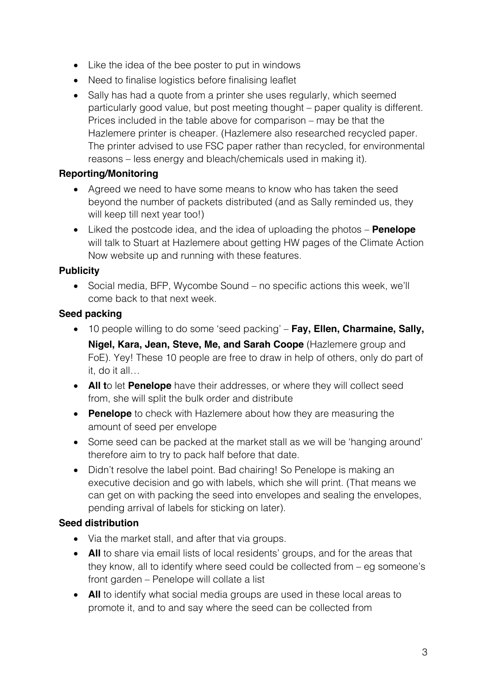- Like the idea of the bee poster to put in windows
- Need to finalise logistics before finalising leaflet
- Sally has had a quote from a printer she uses regularly, which seemed particularly good value, but post meeting thought – paper quality is different. Prices included in the table above for comparison – may be that the Hazlemere printer is cheaper. (Hazlemere also researched recycled paper. The printer advised to use FSC paper rather than recycled, for environmental reasons – less energy and bleach/chemicals used in making it).

#### **Reporting/Monitoring**

- Agreed we need to have some means to know who has taken the seed beyond the number of packets distributed (and as Sally reminded us, they will keep till next year too!)
- Liked the postcode idea, and the idea of uploading the photos **Penelope** will talk to Stuart at Hazlemere about getting HW pages of the Climate Action Now website up and running with these features.

#### **Publicity**

• Social media, BFP, Wycombe Sound – no specific actions this week, we'll come back to that next week.

#### **Seed packing**

- 10 people willing to do some 'seed packing' **Fay, Ellen, Charmaine, Sally, Nigel, Kara, Jean, Steve, Me, and Sarah Coope** (Hazlemere group and FoE). Yey! These 10 people are free to draw in help of others, only do part of it, do it all…
- **All t**o let **Penelope** have their addresses, or where they will collect seed from, she will split the bulk order and distribute
- **Penelope** to check with Hazlemere about how they are measuring the amount of seed per envelope
- Some seed can be packed at the market stall as we will be 'hanging around' therefore aim to try to pack half before that date.
- Didn't resolve the label point. Bad chairing! So Penelope is making an executive decision and go with labels, which she will print. (That means we can get on with packing the seed into envelopes and sealing the envelopes, pending arrival of labels for sticking on later).

### **Seed distribution**

- Via the market stall, and after that via groups.
- **All** to share via email lists of local residents' groups, and for the areas that they know, all to identify where seed could be collected from – eg someone's front garden – Penelope will collate a list
- **All** to identify what social media groups are used in these local areas to promote it, and to and say where the seed can be collected from